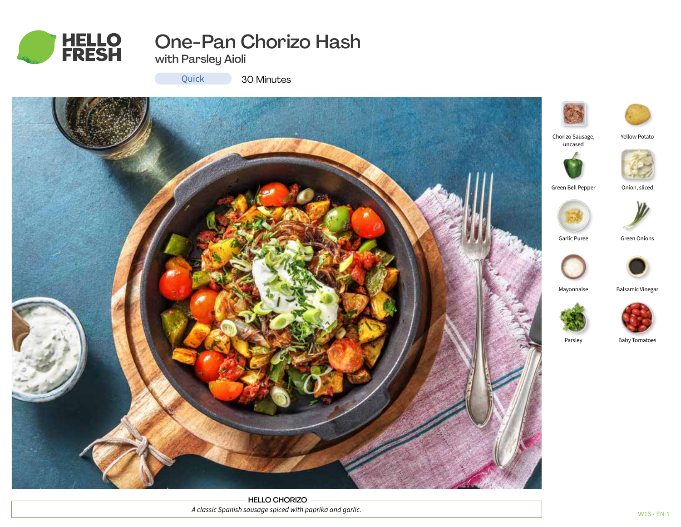

# One-Pan Chorizo Hash

with Parsley Aioli

Quick

30 Minutes



HELLO CHORIZO *A classic Spanish sausage spiced with paprika and garlic.*